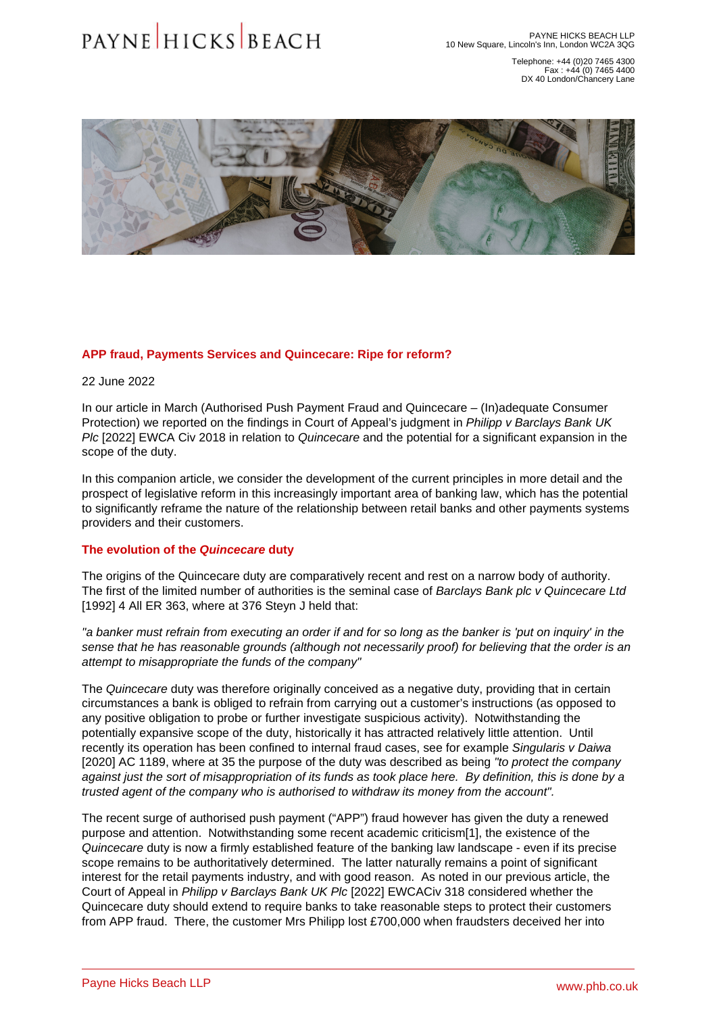Telephone: +44 (0)20 7465 4300 Fax : +44 (0) 7465 4400 DX 40 London/Chancery Lane

## <span id="page-0-0"></span>APP fraud, Payments Services and Quincecare: Ripe for reform?

22 June 2022

In our article in March [\(Authorised Push Payment Fraud and Quincecare – \(In\)adequate Consumer](�� h t t p s : / / w w w . p h b . c o . u k / l e g a l - u p d a t e s / a u t h o r i s e d - p u s h - p a y m e n t - f r a u d - a n d - q u i n c e c a r e - i n a d e q u a t e - c o n s u m e r - p r o t e c t i o n)  [Protection\)](�� h t t p s : / / w w w . p h b . c o . u k / l e g a l - u p d a t e s / a u t h o r i s e d - p u s h - p a y m e n t - f r a u d - a n d - q u i n c e c a r e - i n a d e q u a t e - c o n s u m e r - p r o t e c t i o n) we reported on the findings in Court of Appeal's judgment in Philipp v Barclays Bank UK Plc [2022] EWCA Civ 2018 in relation to Quincecare and the potential for a significant expansion in the scope of the duty.

In this companion article, we consider the development of the current principles in more detail and the prospect of legislative reform in this increasingly important area of banking law, which has the potential to significantly reframe the nature of the relationship between retail banks and other payments systems providers and their customers.

## The evolution of the Quincecare duty

The origins of the Quincecare duty are comparatively recent and rest on a narrow body of authority. The first of the limited number of authorities is the seminal case of Barclays Bank plc v Quincecare Ltd [1992] 4 All ER 363, where at 376 Steyn J held that:

"a banker must refrain from executing an order if and for so long as the banker is 'put on inquiry' in the sense that he has reasonable grounds (although not necessarily proof) for believing that the order is an attempt to misappropriate the funds of the company"

The Quincecare duty was therefore originally conceived as a negative duty, providing that in certain circumstances a bank is obliged to refrain from carrying out a customer's instructions (as opposed to any positive obligation to probe or further investigate suspicious activity). Notwithstanding the potentially expansive scope of the duty, historically it has attracted relatively little attention. Until recently its operation has been confined to internal fraud cases, see for example Singularis v Daiwa [2020] AC 1189, where at 35 the purpose of the duty was described as being "to protect the company against just the sort of misappropriation of its funds as took place here. By definition, this is done by a trusted agent of the company who is authorised to withdraw its money from the account".

The recent surge of authorised push payment ("APP") fraud however has given the duty a renewed purpose and attention. Notwithstanding some recent academic criticism[1], the existence of the Quincecare duty is now a firmly established feature of the banking law landscape - even if its precise scope remains to be authoritatively determined. The latter naturally remains a point of significant interest for the retail payments industry, and with good reason. As noted [in our previous article, t](�� h t t p s : / / w w w . p h b . c o . u k / l e g a l - u p d a t e s / a u t h o r i s e d - p u s h - p a y m e n t - f r a u d - a n d - q u i n c e c a r e - i n a d e q u a t e - c o n s u m e r - p r o t e c t i o n)he Court of Appeal in Philipp v Barclays Bank UK Plc [2022] EWCACiv 318 considered whether the Quincecare duty should extend to require banks to take reasonable steps to protect their customers from APP fraud. There, the customer Mrs Philipp lost £700,000 when fraudsters deceived her into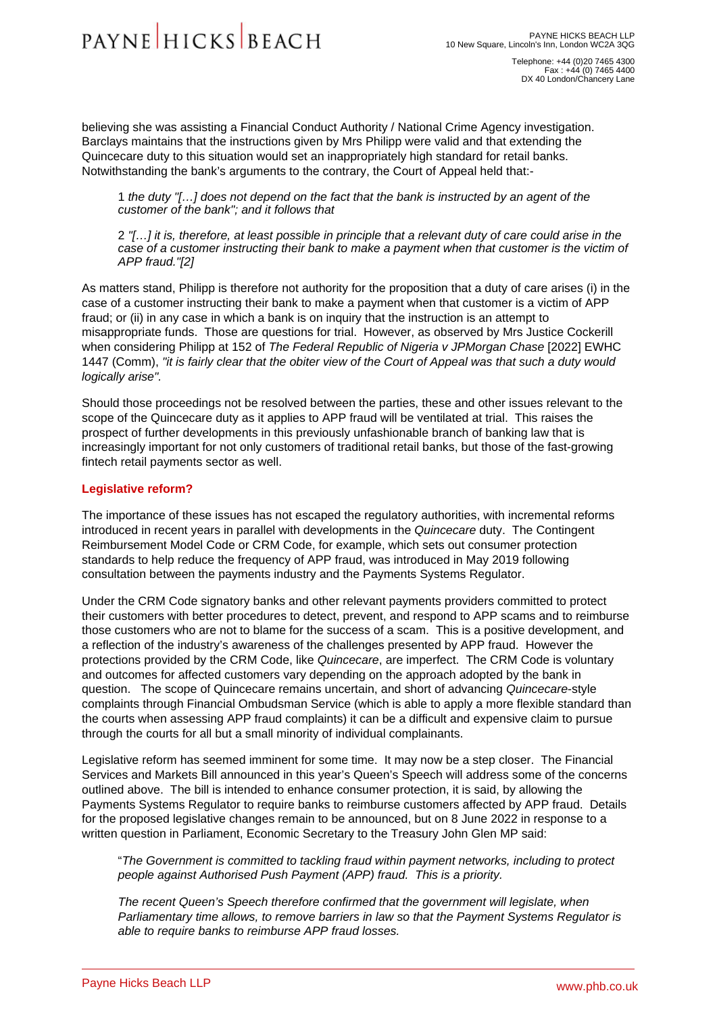Telephone: +44 (0)20 7465 4300 Fax : +44 (0) 7465 4400 DX 40 London/Chancery Lane

<span id="page-1-0"></span>believing she was assisting a Financial Conduct Authority / National Crime Agency investigation. Barclays maintains that the instructions given by Mrs Philipp were valid and that extending the Quincecare duty to this situation would set an inappropriately high standard for retail banks. Notwithstanding the bank's arguments to the contrary, the Court of Appeal held that:-

1 the duty "[…] does not depend on the fact that the bank is instructed by an agent of the customer of the bank"; and it follows that

2 "[…] it is, therefore, at least possible in principle that a relevant duty of care could arise in the case of a customer instructing their bank to make a payment when that customer is the victim of APP fraud."[2]

As matters stand, Philipp is therefore not authority for the proposition that a duty of care arises (i) in the case of a customer instructing their bank to make a payment when that customer is a victim of APP fraud; or (ii) in any case in which a bank is on inquiry that the instruction is an attempt to misappropriate funds. Those are questions for trial. However, as observed by Mrs Justice Cockerill when considering Philipp at 152 of The Federal Republic of Nigeria v JPMorgan Chase [2022] EWHC 1447 (Comm), "it is fairly clear that the obiter view of the Court of Appeal was that such a duty would logically arise".

Should those proceedings not be resolved between the parties, these and other issues relevant to the scope of the Quincecare duty as it applies to APP fraud will be ventilated at trial. This raises the prospect of further developments in this previously unfashionable branch of banking law that is increasingly important for not only customers of traditional retail banks, but those of the fast-growing fintech retail payments sector as well.

## Legislative reform?

The importance of these issues has not escaped the regulatory authorities, with incremental reforms introduced in recent years in parallel with developments in the Quincecare duty. The Contingent Reimbursement Model Code or CRM Code, for example, which sets out consumer protection standards to help reduce the frequency of APP fraud, was introduced in May 2019 following consultation between the payments industry and the Payments Systems Regulator.

Under the CRM Code signatory banks and other relevant payments providers committed to protect their customers with better procedures to detect, prevent, and respond to APP scams and to reimburse those customers who are not to blame for the success of a scam. This is a positive development, and a reflection of the industry's awareness of the challenges presented by APP fraud. However the protections provided by the CRM Code, like Quincecare, are imperfect. The CRM Code is voluntary and outcomes for affected customers vary depending on the approach adopted by the bank in question. The scope of Quincecare remains uncertain, and short of advancing Quincecare-style complaints through Financial Ombudsman Service (which is able to apply a more flexible standard than the courts when assessing APP fraud complaints) it can be a difficult and expensive claim to pursue through the courts for all but a small minority of individual complainants.

Legislative reform has seemed imminent for some time. It may now be a step closer. The Financial Services and Markets Bill announced in this year's Queen's Speech will address some of the concerns outlined above. The bill is intended to enhance consumer protection, it is said, by allowing the Payments Systems Regulator to require banks to reimburse customers affected by APP fraud. Details for the proposed legislative changes remain to be announced, but on 8 June 2022 in response to a written question in Parliament, Economic Secretary to the Treasury John Glen MP said:

"The Government is committed to tackling fraud within payment networks, including to protect people against Authorised Push Payment (APP) fraud. This is a priority.

The recent Queen's Speech therefore confirmed that the government will legislate, when Parliamentary time allows, to remove barriers in law so that the Payment Systems Regulator is able to require banks to reimburse APP fraud losses.